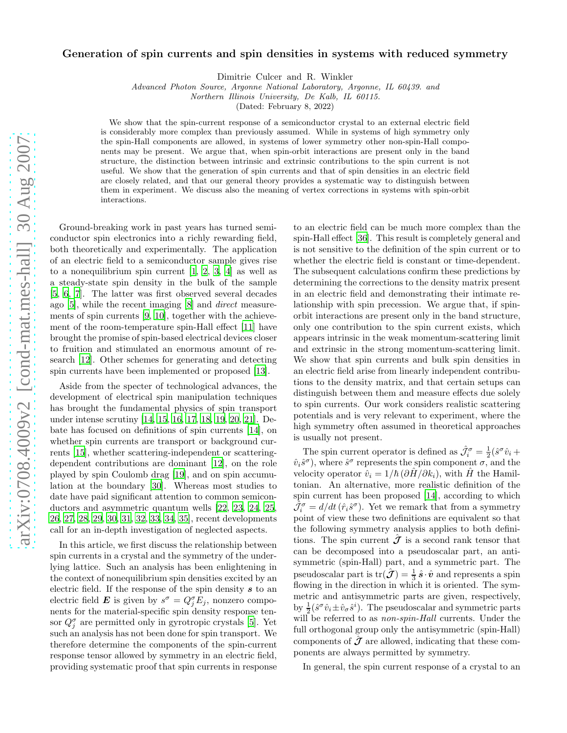## Generation of spin currents and spin densities in systems with reduced symmetry

Dimitrie Culcer and R. Winkler

Advanced Photon Source, Argonne National Laboratory, Argonne, IL 60439. and

Northern Illinois University, De Kalb, IL 60115.

(Dated: February 8, 2022)

We show that the spin-current response of a semiconductor crystal to an external electric field is considerably more complex than previously assumed. While in systems of high symmetry only the spin-Hall components are allowed, in systems of lower symmetry other non-spin-Hall components may be present. We argue that, when spin-orbit interactions are present only in the band structure, the distinction between intrinsic and extrinsic contributions to the spin current is not useful. We show that the generation of spin currents and that of spin densities in an electric field are closely related, and that our general theory provides a systematic way to distinguish between them in experiment. We discuss also the meaning of vertex corrections in systems with spin-orbit interactions.

Ground-breaking work in past years has turned semiconductor spin electronics into a richly rewarding field, both theoretically and experimentally. The application of an electric field to a semiconductor sample gives rise to a nonequilibrium spin current [\[1,](#page-3-0) [2](#page-3-1), [3,](#page-3-2) [4\]](#page-3-3) as well as a steady-state spin density in the bulk of the sample [\[5,](#page-3-4) [6](#page-3-5), [7](#page-3-6)]. The latter was first observed several decades ago [\[5\]](#page-3-4), while the recent imaging [\[8\]](#page-3-7) and direct measurements of spin currents [\[9](#page-3-8), [10](#page-3-9)], together with the achievement of the room-temperature spin-Hall effect [\[11](#page-3-10)] have brought the promise of spin-based electrical devices closer to fruition and stimulated an enormous amount of research [\[12](#page-3-11)]. Other schemes for generating and detecting spin currents have been implemented or proposed [\[13\]](#page-3-12).

Aside from the specter of technological advances, the development of electrical spin manipulation techniques has brought the fundamental physics of spin transport under intense scrutiny [\[14,](#page-3-13) [15,](#page-3-14) [16](#page-3-15), [17,](#page-3-16) [18](#page-3-17), [19,](#page-3-18) [20](#page-3-19), [21\]](#page-3-20). Debate has focused on definitions of spin currents [\[14](#page-3-13)], on whether spin currents are transport or background currents [\[15\]](#page-3-14), whether scattering-independent or scatteringdependent contributions are dominant [\[12](#page-3-11)], on the role played by spin Coulomb drag [\[19\]](#page-3-18), and on spin accumulation at the boundary [\[30](#page-3-21)]. Whereas most studies to date have paid significant attention to common semiconductors and asymmetric quantum wells [\[22](#page-3-22), [23](#page-3-23), [24](#page-3-24), [25](#page-3-25), [26,](#page-3-26) [27,](#page-3-27) [28,](#page-3-28) [29,](#page-3-29) [30,](#page-3-21) [31,](#page-3-30) [32,](#page-3-31) [33,](#page-3-32) [34,](#page-3-33) [35\]](#page-3-34), recent developments call for an in-depth investigation of neglected aspects.

In this article, we first discuss the relationship between spin currents in a crystal and the symmetry of the underlying lattice. Such an analysis has been enlightening in the context of nonequilibrium spin densities excited by an electric field. If the response of the spin density  $s$  to an electric field  $\mathbf{E}$  is given by  $s^{\sigma} = Q_j^{\sigma} E_j$ , nonzero components for the material-specific spin density response tensor  $Q_j^{\sigma}$  are permitted only in gyrotropic crystals [\[5](#page-3-4)]. Yet such an analysis has not been done for spin transport. We therefore determine the components of the spin-current response tensor allowed by symmetry in an electric field, providing systematic proof that spin currents in response

to an electric field can be much more complex than the spin-Hall effect [\[36\]](#page-3-35). This result is completely general and is not sensitive to the definition of the spin current or to whether the electric field is constant or time-dependent. The subsequent calculations confirm these predictions by determining the corrections to the density matrix present in an electric field and demonstrating their intimate relationship with spin precession. We argue that, if spinorbit interactions are present only in the band structure, only one contribution to the spin current exists, which appears intrinsic in the weak momentum-scattering limit and extrinsic in the strong momentum-scattering limit. We show that spin currents and bulk spin densities in an electric field arise from linearly independent contributions to the density matrix, and that certain setups can distinguish between them and measure effects due solely to spin currents. Our work considers realistic scattering potentials and is very relevant to experiment, where the high symmetry often assumed in theoretical approaches is usually not present.

The spin current operator is defined as  $\hat{\mathcal{J}}_i^{\sigma} = \frac{1}{2} (\hat{s}^{\sigma} \hat{v}_i +$  $\hat{v}_i \hat{s}^{\sigma}$ , where  $\hat{s}^{\sigma}$  represents the spin component  $\sigma$ , and the velocity operator  $\hat{v}_i = 1/\hbar (\partial \hat{H}/\partial k_i)$ , with  $\hat{H}$  the Hamiltonian. An alternative, more realistic definition of the spin current has been proposed [\[14](#page-3-13)], according to which  $\hat{J}_{i}^{\sigma} = d/dt \, (\hat{r}_{i} \hat{s}^{\sigma})$ . Yet we remark that from a symmetry point of view these two definitions are equivalent so that the following symmetry analysis applies to both definitions. The spin current  $\hat{J}$  is a second rank tensor that can be decomposed into a pseudoscalar part, an antisymmetric (spin-Hall) part, and a symmetric part. The pseudoscalar part is  $\text{tr}(\hat{J}) = \frac{1}{3}\hat{s}\cdot\hat{v}$  and represents a spin flowing in the direction in which it is oriented. The symmetric and antisymmetric parts are given, respectively, by  $\frac{1}{2}(\hat{s}^{\sigma}\hat{v}_i \pm \hat{v}_{\sigma}\hat{s}^i)$ . The pseudoscalar and symmetric parts will be referred to as *non-spin-Hall* currents. Under the full orthogonal group only the antisymmetric (spin-Hall) components of  $\hat{\mathcal{J}}$  are allowed, indicating that these components are always permitted by symmetry.

In general, the spin current response of a crystal to an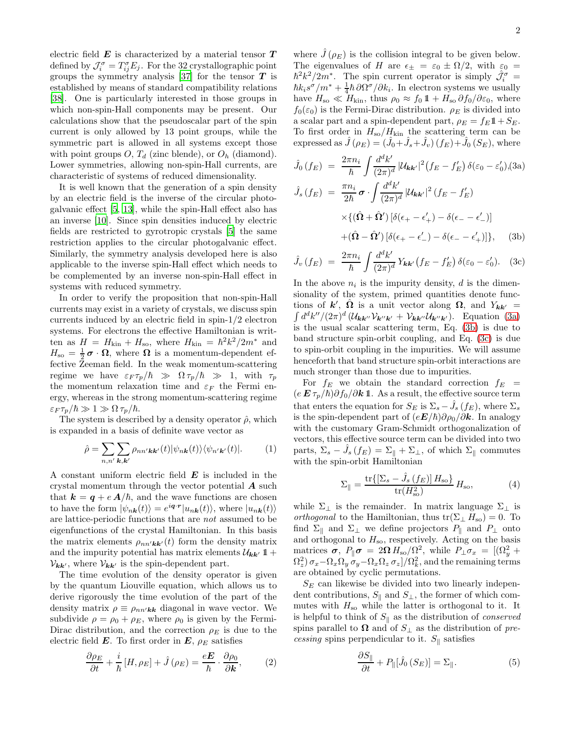electric field  $E$  is characterized by a material tensor  $T$ defined by  $\mathcal{J}_{i}^{\sigma} = T_{ij}^{\sigma} E_j$ . For the 32 crystallographic point groups the symmetry analysis [\[37\]](#page-3-36) for the tensor  $\boldsymbol{T}$  is established by means of standard compatibility relations [\[38\]](#page-3-37). One is particularly interested in those groups in which non-spin-Hall components may be present. Our calculations show that the pseudoscalar part of the spin current is only allowed by 13 point groups, while the symmetric part is allowed in all systems except those with point groups  $O, T_d$  (zinc blende), or  $O_h$  (diamond). Lower symmetries, allowing non-spin-Hall currents, are characteristic of systems of reduced dimensionality.

It is well known that the generation of a spin density by an electric field is the inverse of the circular photogalvanic effect [\[5,](#page-3-4) [13](#page-3-12)], while the spin-Hall effect also has an inverse [\[10\]](#page-3-9). Since spin densities induced by electric fields are restricted to gyrotropic crystals [\[5\]](#page-3-4) the same restriction applies to the circular photogalvanic effect. Similarly, the symmetry analysis developed here is also applicable to the inverse spin-Hall effect which needs to be complemented by an inverse non-spin-Hall effect in systems with reduced symmetry.

In order to verify the proposition that non-spin-Hall currents may exist in a variety of crystals, we discuss spin currents induced by an electric field in spin-1/2 electron systems. For electrons the effective Hamiltonian is written as  $H = H_{\text{kin}} + H_{\text{so}}$ , where  $H_{\text{kin}} = \hbar^2 k^2 / 2m^*$  and  $H_{\rm so} = \frac{1}{2}\boldsymbol{\sigma} \cdot \boldsymbol{\Omega}$ , where  $\boldsymbol{\Omega}$  is a momentum-dependent effective Zeeman field. In the weak momentum-scattering regime we have  $\varepsilon_F \tau_p/\hbar \gg \Omega \tau_p/\hbar \gg 1$ , with  $\tau_p$ the momentum relaxation time and  $\varepsilon_F$  the Fermi energy, whereas in the strong momentum-scattering regime  $\varepsilon_F \tau_p/\hbar \gg 1 \gg \Omega \tau_p/\hbar.$ 

The system is described by a density operator  $\hat{\rho}$ , which is expanded in a basis of definite wave vector as

$$
\hat{\rho} = \sum_{n,n'} \sum_{\mathbf{k},\mathbf{k'}} \rho_{nn'\mathbf{k}\mathbf{k'}}(t) |\psi_{n\mathbf{k}}(t)\rangle \langle \psi_{n'\mathbf{k'}}(t)|.
$$
 (1)

A constant uniform electric field  $E$  is included in the crystal momentum through the vector potential  $\boldsymbol{A}$  such that  $k = q + e A/\hbar$ , and the wave functions are chosen to have the form  $|\psi_{n\mathbf{k}}(t)\rangle = e^{i\mathbf{q}\cdot\mathbf{r}}|u_{n\mathbf{k}}(t)\rangle$ , where  $|u_{n\mathbf{k}}(t)\rangle$ are lattice-periodic functions that are not assumed to be eigenfunctions of the crystal Hamiltonian. In this basis the matrix elements  $\rho_{nn'kk'}(t)$  form the density matrix and the impurity potential has matrix elements  $\mathcal{U}_{\mathbf{k}\mathbf{k}'}$  1+  $V_{kk'}$ , where  $V_{kk'}$  is the spin-dependent part.

The time evolution of the density operator is given by the quantum Liouville equation, which allows us to derive rigorously the time evolution of the part of the density matrix  $\rho \equiv \rho_{nn'kk}$  diagonal in wave vector. We subdivide  $\rho = \rho_0 + \rho_E$ , where  $\rho_0$  is given by the Fermi-Dirac distribution, and the correction  $\rho_E$  is due to the electric field  $\boldsymbol{E}$ . To first order in  $\boldsymbol{E}$ ,  $\rho_E$  satisfies

$$
\frac{\partial \rho_E}{\partial t} + \frac{i}{\hbar} \left[ H, \rho_E \right] + \hat{J} \left( \rho_E \right) = \frac{e \boldsymbol{E}}{\hbar} \cdot \frac{\partial \rho_0}{\partial \boldsymbol{k}}, \tag{2}
$$

where  $J(\rho_E)$  is the collision integral to be given below. The eigenvalues of H are  $\epsilon_{\pm} = \epsilon_0 \pm \Omega/2$ , with  $\epsilon_0 =$  $\hbar^2 k^2/2m^*$ . The spin current operator is simply  $\hat{\mathcal{J}}_i^{\sigma}$  =  $\hbar k_i s^{\sigma}/m^* + \frac{1}{4} \hbar \partial \Omega^{\sigma}/\partial k_i$ . In electron systems we usually have  $H_{\rm so} \ll H_{\rm kin}$ , thus  $\rho_0 \approx f_0 \mathbb{1} + H_{\rm so} \partial f_0 / \partial \varepsilon_0$ , where  $f_0(\varepsilon_0)$  is the Fermi-Dirac distribution.  $\rho_E$  is divided into a scalar part and a spin-dependent part,  $\rho_E = f_E \mathbb{1} + S_E$ . To first order in  $H_{\rm so}/H_{\rm kin}$  the scattering term can be expressed as  $\hat{J}(\rho_E) = (\hat{J}_0 + \hat{J}_s + \hat{J}_v)(f_E) + \hat{J}_0(S_E)$ , where

<span id="page-1-0"></span>
$$
\hat{J}_0(f_E) = \frac{2\pi n_i}{\hbar} \int \frac{d^d k'}{(2\pi)^d} |\mathcal{U}_{\mathbf{k}\mathbf{k}'}|^2 (f_E - f'_E) \, \delta(\varepsilon_0 - \varepsilon'_0), (3a)
$$
\n
$$
\hat{J}_s(f_E) = \frac{\pi n_i}{2\hbar} \boldsymbol{\sigma} \cdot \int \frac{d^d k'}{(2\pi)^d} |\mathcal{U}_{\mathbf{k}\mathbf{k}'}|^2 (f_E - f'_E)
$$
\n
$$
\times \{ (\hat{\boldsymbol{\Omega}} + \hat{\boldsymbol{\Omega}}') \left[ \delta(\epsilon_+ - \epsilon'_+) - \delta(\epsilon_- - \epsilon'_-) \right] + (\hat{\boldsymbol{\Omega}} - \hat{\boldsymbol{\Omega}}') \left[ \delta(\epsilon_+ - \epsilon'_-) - \delta(\epsilon_- - \epsilon'_+) \right] \}, \quad (3b)
$$

$$
\hat{J}_v(f_E) = \frac{2\pi n_i}{\hbar} \int \frac{d^d k'}{(2\pi)^d} Y_{\mathbf{k}\mathbf{k}'}(f_E - f'_E) \,\delta(\varepsilon_0 - \varepsilon'_0). \tag{3c}
$$

In the above  $n_i$  is the impurity density, d is the dimensionality of the system, primed quantities denote functions of  $k'$ ,  $\hat{\Omega}$  is a unit vector along  $\Omega$ , and  $Y_{kk'} =$  $\int d^d k''/(2\pi)^d (\mathcal{U}_{\mathbf{k}\mathbf{k}''}\mathcal{V}_{\mathbf{k}''\mathbf{k}'} + \mathcal{V}_{\mathbf{k}\mathbf{k}''}\mathcal{U}_{\mathbf{k}''\mathbf{k}'}).$  Equation [\(3a\)](#page-1-0) is the usual scalar scattering term, Eq. [\(3b\)](#page-1-0) is due to band structure spin-orbit coupling, and Eq. [\(3c\)](#page-1-0) is due to spin-orbit coupling in the impurities. We will assume henceforth that band structure spin-orbit interactions are much stronger than those due to impurities.

For  $f_E$  we obtain the standard correction  $f_E$  =  $(e E \tau_p / \hbar) \partial f_0 / \partial k \mathbb{1}$ . As a result, the effective source term that enters the equation for  $S_E$  is  $\Sigma_s - \hat{J}_s(f_E)$ , where  $\Sigma_s$ is the spin-dependent part of  $(eE/\hbar)\partial \rho_0/\partial k$ . In analogy with the customary Gram-Schmidt orthogonalization of vectors, this effective source term can be divided into two parts,  $\Sigma_s - \hat{J}_s(f_E) = \Sigma_{\parallel} + \Sigma_{\perp}$ , of which  $\Sigma_{\parallel}$  commutes with the spin-orbit Hamiltonian

$$
\Sigma_{\parallel} = \frac{\text{tr}\{ \left[ \Sigma_s - \hat{J}_s \left( f_E \right) \right] H_{\text{so}} \}}{\text{tr}(H_{\text{so}}^2)} H_{\text{so}},\tag{4}
$$

while  $\Sigma_{\perp}$  is the remainder. In matrix language  $\Sigma_{\perp}$  is *orthogonal* to the Hamiltonian, thus  $tr(\Sigma_{\perp} H_{so}) = 0$ . To find  $\Sigma_{\parallel}$  and  $\Sigma_{\perp}$  we define projectors  $P_{\parallel}$  and  $P_{\perp}$  onto and orthogonal to  $H_{\rm so}$ , respectively. Acting on the basis matrices  $\sigma$ ,  $P_{\parallel} \sigma = 2\Omega H_{\rm so}/\Omega^2$ , while  $P_{\perp} \sigma_x = [(\Omega_y^2 +$  $\Omega_z^2$ )  $\sigma_x - \Omega_x \Omega_y \, \sigma_y - \Omega_x \Omega_z \, \sigma_z]/\Omega_k^2$ , and the remaining terms are obtained by cyclic permutations.

 $S_E$  can likewise be divided into two linearly independent contributions,  $S_{\parallel}$  and  $S_{\perp}$ , the former of which commutes with  $H_{\rm so}$  while the latter is orthogonal to it. It is helpful to think of  $S_{\parallel}$  as the distribution of *conserved* spins parallel to  $\Omega$  and of  $S_{\perp}$  as the distribution of precessing spins perpendicular to it.  $S_{\parallel}$  satisfies

$$
\frac{\partial S_{\parallel}}{\partial t} + P_{\parallel}[\hat{J}_0(S_E)] = \Sigma_{\parallel}.
$$
 (5)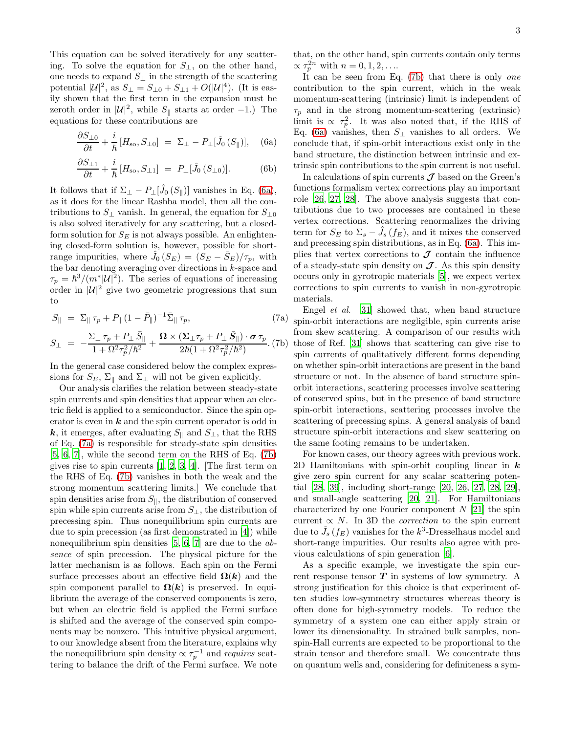This equation can be solved iteratively for any scattering. To solve the equation for  $S_{\perp}$ , on the other hand, one needs to expand  $S_{\perp}$  in the strength of the scattering potential  $|\mathcal{U}|^2$ , as  $S_{\perp} = S_{\perp 0} + S_{\perp 1} + O(|\mathcal{U}|^4)$ . (It is easily shown that the first term in the expansion must be zeroth order in  $|\mathcal{U}|^2$ , while  $S_{\parallel}$  starts at order -1.) The equations for these contributions are

<span id="page-2-0"></span>
$$
\frac{\partial S_{\perp 0}}{\partial t} + \frac{i}{\hbar} \left[ H_{\rm so}, S_{\perp 0} \right] = \Sigma_{\perp} - P_{\perp} [\hat{J}_0 \left( S_{\parallel} \right)], \quad \text{(6a)}
$$

$$
\frac{\partial S_{\perp 1}}{\partial t} + \frac{i}{\hbar} \left[ H_{\rm so}, S_{\perp 1} \right] = P_{\perp} [\hat{J}_0 \left( S_{\perp 0} \right)]. \tag{6b}
$$

It follows that if  $\Sigma_{\perp} - P_{\perp}[\hat{J}_0(S_{\parallel})]$  vanishes in Eq. [\(6a\)](#page-2-0), as it does for the linear Rashba model, then all the contributions to  $S_{\perp}$  vanish. In general, the equation for  $S_{\perp 0}$ is also solved iteratively for any scattering, but a closedform solution for  $S_E$  is not always possible. An enlightening closed-form solution is, however, possible for shortrange impurities, where  $\hat{J}_0(S_E) = (S_E - \bar{S}_E)/\tau_p$ , with the bar denoting averaging over directions in  $k$ -space and  $\tau_p = \hbar^3/(m^*|\mathcal{U}|^2)$ . The series of equations of increasing order in  $|\mathcal{U}|^2$  give two geometric progressions that sum to

<span id="page-2-1"></span>
$$
S_{\parallel} = \Sigma_{\parallel} \tau_p + P_{\parallel} (1 - \bar{P}_{\parallel})^{-1} \bar{\Sigma}_{\parallel} \tau_p, \tag{7a}
$$

$$
S_{\perp} = -\frac{\Sigma_{\perp} \tau_p + P_{\perp} \bar{S}_{\parallel}}{1 + \Omega^2 \tau_p^2 / \hbar^2} + \frac{\mathbf{\Omega} \times (\mathbf{\Sigma}_{\perp} \tau_p + P_{\perp} \bar{S}_{\parallel}) \cdot \boldsymbol{\sigma} \tau_p}{2 \hbar (1 + \Omega^2 \tau_p^2 / \hbar^2)}.
$$
 (7b)

In the general case considered below the complex expressions for  $S_E$ ,  $\Sigma_{\parallel}$  and  $\Sigma_{\perp}$  will not be given explicitly.

Our analysis clarifies the relation between steady-state spin currents and spin densities that appear when an electric field is applied to a semiconductor. Since the spin operator is even in  $k$  and the spin current operator is odd in k, it emerges, after evaluating  $S_{\parallel}$  and  $S_{\perp}$ , that the RHS of Eq. [\(7a\)](#page-2-1) is responsible for steady-state spin densities [\[5,](#page-3-4) [6](#page-3-5), [7\]](#page-3-6), while the second term on the RHS of Eq. [\(7b\)](#page-2-1) gives rise to spin currents  $[1, 2, 3, 4]$  $[1, 2, 3, 4]$  $[1, 2, 3, 4]$  $[1, 2, 3, 4]$  $[1, 2, 3, 4]$  $[1, 2, 3, 4]$  $[1, 2, 3, 4]$ . The first term on the RHS of Eq. [\(7b\)](#page-2-1) vanishes in both the weak and the strong momentum scattering limits.] We conclude that spin densities arise from  $S_{\parallel}$ , the distribution of conserved spin while spin currents arise from  $S_{\perp}$ , the distribution of precessing spin. Thus nonequilibrium spin currents are due to spin precession (as first demonstrated in [\[4\]](#page-3-3)) while nonequilibrium spin densities  $[5, 6, 7]$  $[5, 6, 7]$  $[5, 6, 7]$  are due to the absence of spin precession. The physical picture for the latter mechanism is as follows. Each spin on the Fermi surface precesses about an effective field  $\Omega(k)$  and the spin component parallel to  $\Omega(k)$  is preserved. In equilibrium the average of the conserved components is zero, but when an electric field is applied the Fermi surface is shifted and the average of the conserved spin components may be nonzero. This intuitive physical argument, to our knowledge absent from the literature, explains why the nonequilibrium spin density  $\propto \tau_p^{-1}$  and requires scattering to balance the drift of the Fermi surface. We note

that, on the other hand, spin currents contain only terms  $\propto \tau_p^{2n}$  with  $n = 0, 1, 2, \ldots$ 

It can be seen from Eq. [\(7b\)](#page-2-1) that there is only one contribution to the spin current, which in the weak momentum-scattering (intrinsic) limit is independent of  $\tau_p$  and in the strong momentum-scattering (extrinsic) limit is  $\propto \tau_p^2$ . It was also noted that, if the RHS of Eq. [\(6a\)](#page-2-0) vanishes, then  $S_{\perp}$  vanishes to all orders. We conclude that, if spin-orbit interactions exist only in the band structure, the distinction between intrinsic and extrinsic spin contributions to the spin current is not useful.

In calculations of spin currents  $\mathcal J$  based on the Green's functions formalism vertex corrections play an important role [\[26,](#page-3-26) [27](#page-3-27), [28](#page-3-28)]. The above analysis suggests that contributions due to two processes are contained in these vertex corrections. Scattering renormalizes the driving term for  $S_E$  to  $\Sigma_s - \hat{J}_s(f_E)$ , and it mixes the conserved and precessing spin distributions, as in Eq. [\(6a\)](#page-2-0). This implies that vertex corrections to  $\mathcal J$  contain the influence of a steady-state spin density on  $\mathcal J$ . As this spin density occurs only in gyrotropic materials [\[5](#page-3-4)], we expect vertex corrections to spin currents to vanish in non-gyrotropic materials.

Engel et al. [\[31](#page-3-30)] showed that, when band structure spin-orbit interactions are negligible, spin currents arise from skew scattering. A comparison of our results with those of Ref. [\[31\]](#page-3-30) shows that scattering can give rise to spin currents of qualitatively different forms depending on whether spin-orbit interactions are present in the band structure or not. In the absence of band structure spinorbit interactions, scattering processes involve scattering of conserved spins, but in the presence of band structure spin-orbit interactions, scattering processes involve the scattering of precessing spins. A general analysis of band structure spin-orbit interactions and skew scattering on the same footing remains to be undertaken.

For known cases, our theory agrees with previous work. 2D Hamiltonians with spin-orbit coupling linear in  $k$ give zero spin current for any scalar scattering potential [\[28,](#page-3-28) [39\]](#page-3-38), including short-range [\[20,](#page-3-19) [26](#page-3-26), [27,](#page-3-27) [28](#page-3-28), [29\]](#page-3-29), and small-angle scattering [\[20,](#page-3-19) [21](#page-3-20)]. For Hamiltonians characterized by one Fourier component  $N$  [\[21\]](#page-3-20) the spin current  $\propto N$ . In 3D the *correction* to the spin current due to  $\hat{J}_s(f_E)$  vanishes for the  $k^3$ -Dresselhaus model and short-range impurities. Our results also agree with previous calculations of spin generation [\[6\]](#page-3-5).

As a specific example, we investigate the spin current response tensor  $T$  in systems of low symmetry. A strong justification for this choice is that experiment often studies low-symmetry structures whereas theory is often done for high-symmetry models. To reduce the symmetry of a system one can either apply strain or lower its dimensionality. In strained bulk samples, nonspin-Hall currents are expected to be proportional to the strain tensor and therefore small. We concentrate thus on quantum wells and, considering for definiteness a sym